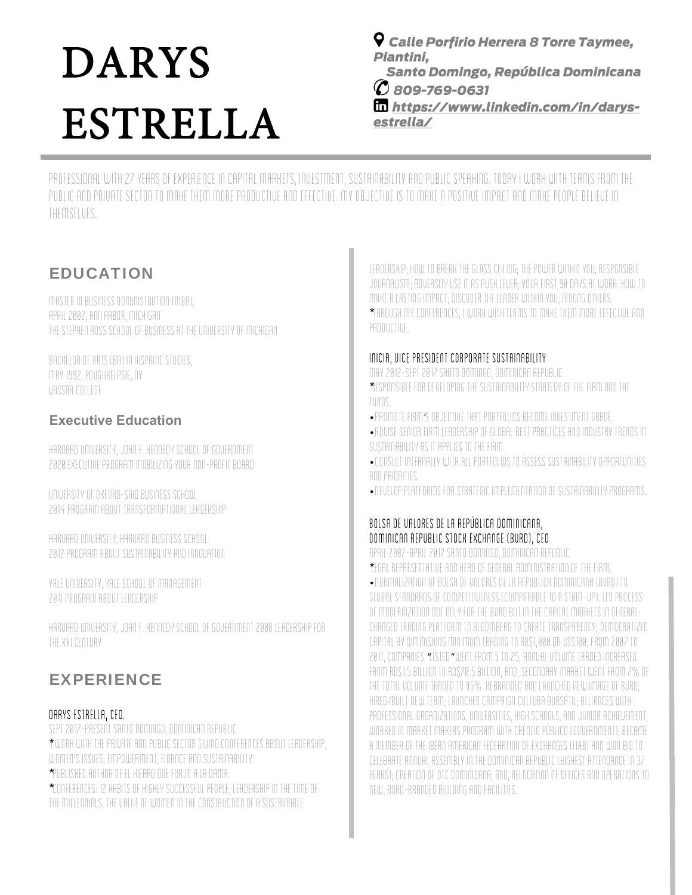# DARYS ESTRELLA

 *Calle Porfirio Herrera 8 Torre Taymee, Piantini,* 

 *Santo Domingo, República Dominicana 809-769-0631* 

 *https://www.linkedin.com/in/darysestrella/* 

Professional with 27 years of experience in capital markets, investment, sustainability and public speaking. Today I work with teams from the public and private sector to make them more productive and effective. My objective is to make a positive impact and make people believe in themselves.

## EDUCATION

Master in Business Administration (MBA), April 2002, Ann Arbor, Michigan The Stephen Ross School of Business at the University of Michigan

Bachelor of Arts (BA) in Hispanic Studies, May 1992, Poughkeepsie, NY Vassar College

### **Executive Education**

Harvard University, John F. Kennedy School of Government 2020 Executive Program Mobilizing Your Non-profit Board

University of Oxford-Said Business School 2014 Program about Transformational Leadership

Harvard University, Harvard Business School 2012 Program about Sustainability and Innovation

Yale University, Yale School of Management 2011 Program about Leadership

Harvard University, John F. Kennedy School of Government 2008 Leadership for the XXI Century

## EXPERIENCE

#### Darys Estrella, CEO.

Sept 2017-Present Santo Domingo, Dominican Republic \*I work with the private and public sector giving conferences about leadership, women's issues, empowerment, finance and sustainability. \* Published Author of El Hierro que Forjó a la Dama.

\* Conferences: 12 Habits of highly Successful People; Leadership in the time of the Millennials; The Value of Women in the construction of a Sustainable

Leadership; How to break the glass ceiling; The Power within you; Responsible Journalism; Adversity use it as Push Lever; Your First 90 days at work: how to make a lasting impact; Discover the Leader within you; among others. \* Through my conferences, I work with teams to make them more effective and productive.

#### INICIA, Vice President Corporate Sustainability

May 2012-Sept 2017 Santo Domingo, Dominican Republic

\*Responsible for developing the sustainability strategy of the firm and the funds.

- ' Promote firm s objective that portfolios become investment grade.
- Advise senior firm leadership of global best practices and industry trends in sustainability as it applies to the firm.
- Consult internally with all portfolios to assess sustainability opportunities and priorities.

• Develop platforms for strategic implementation of sustainability programs.

#### Bolsa de Valores de la República Dominicana, Dominican Republic Stock Exchange (BVRD), CEO

April 2007-April 2012 Santo Domingo, Dominican Republic

\*Legal representative and head of general administration of the firm.

• Normalization of Bolsa de Valores de la República Dominicana (BVRD) to global standards of competitiveness (comparable to a start-up). Led process of modernization not only for the BVRD but in the capital markets in general: changed trading platform to Bloomberg to create transparency; democratized capital by diminishing minimum trading to RD\$1,000 or US\$100; From 2007 to 2011, COMPANIES "LISTED "WENT FROM 5 TO 25, ANNUAL VOLUME TRADED INCREASED from RD\$1.5 billion to RD\$70.5 billion, and, secondary market went from 7% of the total volume traded to 95%. Rebranded and launched new image of BVRD; hired/built new team; launched campaign Cultura Bursátil; alliances with professional organizations, universities, high schools, and Junior Achievement; worked in Market Makers program with Crédito Público (government); became a member of the Ibero American Federation of Exchanges (FIAB) and won bid to celebrate Annual Assembly in the Dominican Republic (highest attendance in 37 years); creation of OTC Dominicana; and, relocation of offices and operations to new, BVRD-branded building and facilities.